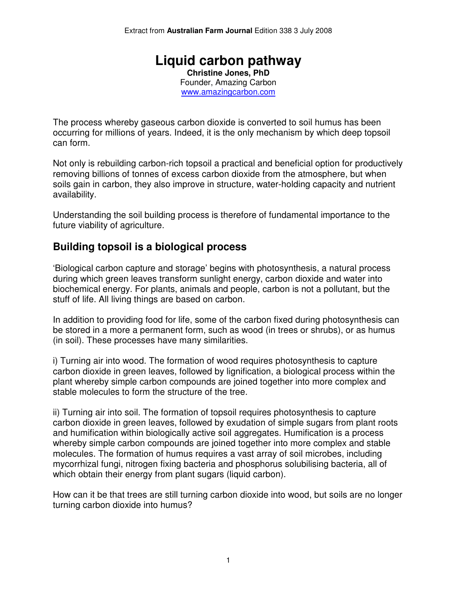#### **Liquid carbon pathway Christine Jones, PhD**  Founder, Amazing Carbon www.amazingcarbon.com

The process whereby gaseous carbon dioxide is converted to soil humus has been occurring for millions of years. Indeed, it is the only mechanism by which deep topsoil can form.

Not only is rebuilding carbon-rich topsoil a practical and beneficial option for productively removing billions of tonnes of excess carbon dioxide from the atmosphere, but when soils gain in carbon, they also improve in structure, water-holding capacity and nutrient availability.

Understanding the soil building process is therefore of fundamental importance to the future viability of agriculture.

#### **Building topsoil is a biological process**

'Biological carbon capture and storage' begins with photosynthesis, a natural process during which green leaves transform sunlight energy, carbon dioxide and water into biochemical energy. For plants, animals and people, carbon is not a pollutant, but the stuff of life. All living things are based on carbon.

In addition to providing food for life, some of the carbon fixed during photosynthesis can be stored in a more a permanent form, such as wood (in trees or shrubs), or as humus (in soil). These processes have many similarities.

i) Turning air into wood. The formation of wood requires photosynthesis to capture carbon dioxide in green leaves, followed by lignification, a biological process within the plant whereby simple carbon compounds are joined together into more complex and stable molecules to form the structure of the tree.

ii) Turning air into soil. The formation of topsoil requires photosynthesis to capture carbon dioxide in green leaves, followed by exudation of simple sugars from plant roots and humification within biologically active soil aggregates. Humification is a process whereby simple carbon compounds are joined together into more complex and stable molecules. The formation of humus requires a vast array of soil microbes, including mycorrhizal fungi, nitrogen fixing bacteria and phosphorus solubilising bacteria, all of which obtain their energy from plant sugars (liquid carbon).

How can it be that trees are still turning carbon dioxide into wood, but soils are no longer turning carbon dioxide into humus?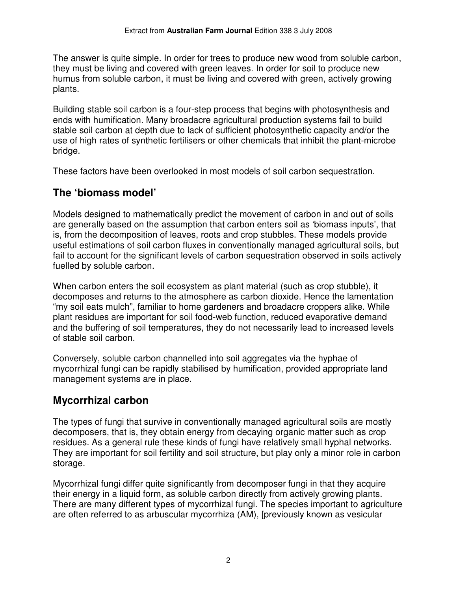The answer is quite simple. In order for trees to produce new wood from soluble carbon, they must be living and covered with green leaves. In order for soil to produce new humus from soluble carbon, it must be living and covered with green, actively growing plants.

Building stable soil carbon is a four-step process that begins with photosynthesis and ends with humification. Many broadacre agricultural production systems fail to build stable soil carbon at depth due to lack of sufficient photosynthetic capacity and/or the use of high rates of synthetic fertilisers or other chemicals that inhibit the plant-microbe bridge.

These factors have been overlooked in most models of soil carbon sequestration.

# **The 'biomass model'**

Models designed to mathematically predict the movement of carbon in and out of soils are generally based on the assumption that carbon enters soil as 'biomass inputs', that is, from the decomposition of leaves, roots and crop stubbles. These models provide useful estimations of soil carbon fluxes in conventionally managed agricultural soils, but fail to account for the significant levels of carbon sequestration observed in soils actively fuelled by soluble carbon.

When carbon enters the soil ecosystem as plant material (such as crop stubble), it decomposes and returns to the atmosphere as carbon dioxide. Hence the lamentation "my soil eats mulch", familiar to home gardeners and broadacre croppers alike. While plant residues are important for soil food-web function, reduced evaporative demand and the buffering of soil temperatures, they do not necessarily lead to increased levels of stable soil carbon.

Conversely, soluble carbon channelled into soil aggregates via the hyphae of mycorrhizal fungi can be rapidly stabilised by humification, provided appropriate land management systems are in place.

# **Mycorrhizal carbon**

The types of fungi that survive in conventionally managed agricultural soils are mostly decomposers, that is, they obtain energy from decaying organic matter such as crop residues. As a general rule these kinds of fungi have relatively small hyphal networks. They are important for soil fertility and soil structure, but play only a minor role in carbon storage.

Mycorrhizal fungi differ quite significantly from decomposer fungi in that they acquire their energy in a liquid form, as soluble carbon directly from actively growing plants. There are many different types of mycorrhizal fungi. The species important to agriculture are often referred to as arbuscular mycorrhiza (AM), [previously known as vesicular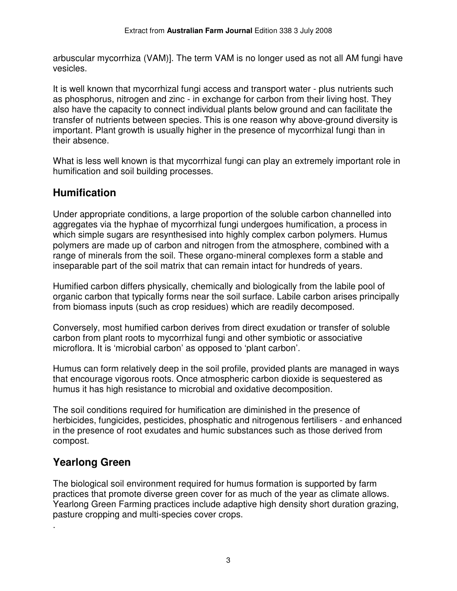arbuscular mycorrhiza (VAM)]. The term VAM is no longer used as not all AM fungi have vesicles.

It is well known that mycorrhizal fungi access and transport water - plus nutrients such as phosphorus, nitrogen and zinc - in exchange for carbon from their living host. They also have the capacity to connect individual plants below ground and can facilitate the transfer of nutrients between species. This is one reason why above-ground diversity is important. Plant growth is usually higher in the presence of mycorrhizal fungi than in their absence.

What is less well known is that mycorrhizal fungi can play an extremely important role in humification and soil building processes.

## **Humification**

Under appropriate conditions, a large proportion of the soluble carbon channelled into aggregates via the hyphae of mycorrhizal fungi undergoes humification, a process in which simple sugars are resynthesised into highly complex carbon polymers. Humus polymers are made up of carbon and nitrogen from the atmosphere, combined with a range of minerals from the soil. These organo-mineral complexes form a stable and inseparable part of the soil matrix that can remain intact for hundreds of years.

Humified carbon differs physically, chemically and biologically from the labile pool of organic carbon that typically forms near the soil surface. Labile carbon arises principally from biomass inputs (such as crop residues) which are readily decomposed.

Conversely, most humified carbon derives from direct exudation or transfer of soluble carbon from plant roots to mycorrhizal fungi and other symbiotic or associative microflora. It is 'microbial carbon' as opposed to 'plant carbon'.

Humus can form relatively deep in the soil profile, provided plants are managed in ways that encourage vigorous roots. Once atmospheric carbon dioxide is sequestered as humus it has high resistance to microbial and oxidative decomposition.

The soil conditions required for humification are diminished in the presence of herbicides, fungicides, pesticides, phosphatic and nitrogenous fertilisers - and enhanced in the presence of root exudates and humic substances such as those derived from compost.

## **Yearlong Green**

.

The biological soil environment required for humus formation is supported by farm practices that promote diverse green cover for as much of the year as climate allows. Yearlong Green Farming practices include adaptive high density short duration grazing, pasture cropping and multi-species cover crops.